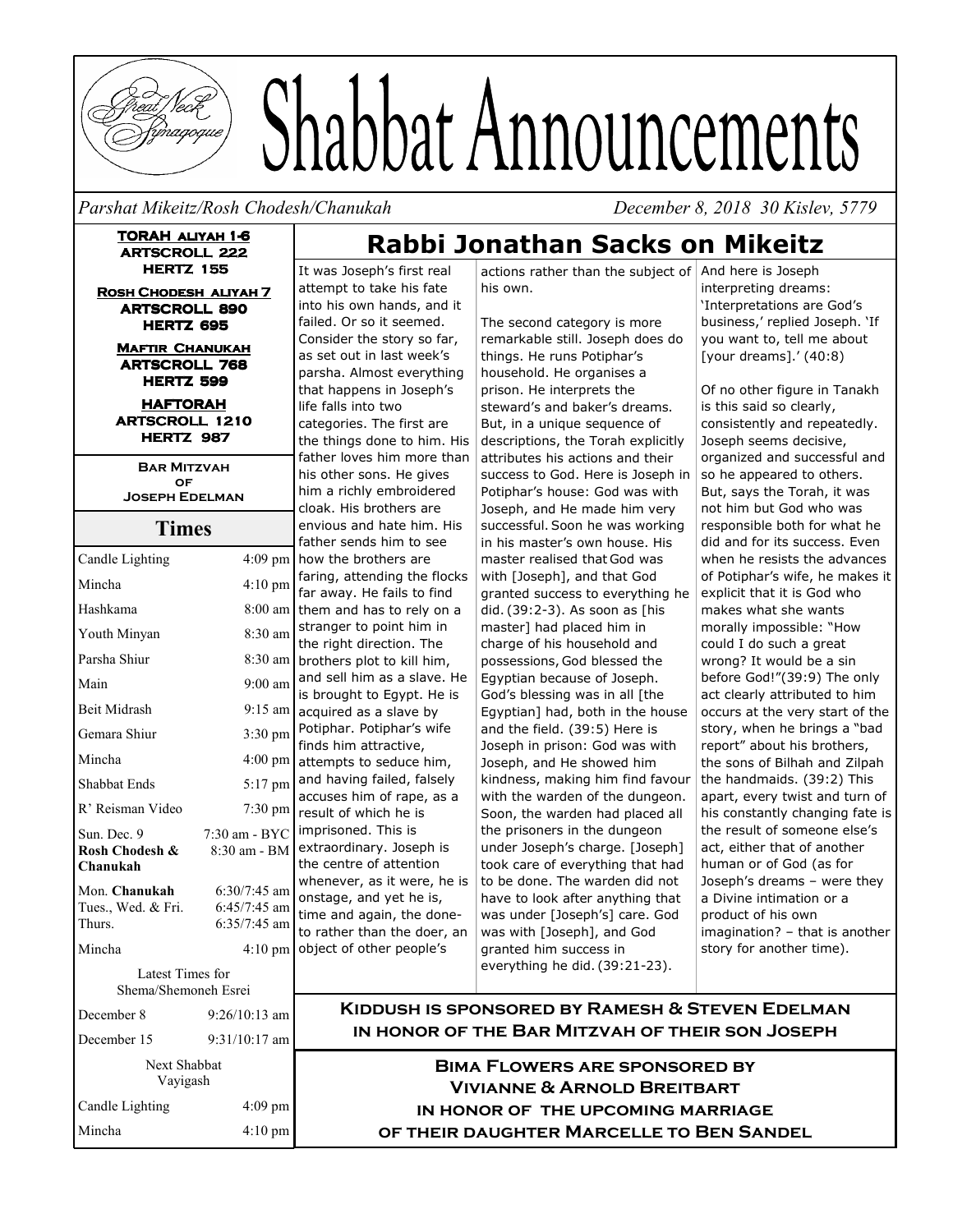

# Shabbat Announcements

Parshat Mikeitz/Rosh Chodesh/Chanukah **belaga di manalisan di manalisa di manalisa di manalisa di manalisa di m** 

cember 8, 2018 30 Kislev, 5779

**TORAH ALIYAH 1-6 ARTSCROLL 222 HERTZ 155** 

**ROSH CHODESH ALIYAH 7**  $ARTSCROLL 890$ **HERTZ 695** 

> **MAFTIR CHANUKAH ARTSCROLL 768 HERTZ 599**

**HAFTORAH**  $ARTSCROLL$  1210 **HERTZ 987** 

**BAR MITZVAH**  $OF$ **JOSEPH EDELMAN** 

|                            |                   | f       |
|----------------------------|-------------------|---------|
| Candle Lighting            | 4:09 pm           | h       |
| Mincha                     | 4:10 pm           | f<br>f  |
| Hashkama                   | 8:00 am           | tl      |
| Youth Minyan               | 8:30 am           | s<br>tl |
| Parsha Shiur               | 8:30 am           | b       |
| Main                       | $9:00$ am         | a<br>is |
| <b>Beit Midrash</b>        | $9:15$ am         | a       |
| Gemara Shiur               | $3:30 \text{ pm}$ | P<br>fi |
| Mincha                     | $4:00 \text{ pm}$ | a       |
| Shabbat Ends               | 5:17 pm           | a<br>a  |
| R' Reisman Video           | 7:30 pm           | h       |
| Sun. Dec. 9                | 7:30 am - BYC     | ir      |
| Rosh Chodesh &<br>Chanukah | 8:30 am - BM      | e<br>tl |
| Mon. Chanukah              | $6:30/7:45$ am    | W       |
| Tues., Wed. & Fri.         | $6:45/7:45$ am    | o<br>ti |
| Thurs.                     | $6:35/7:45$ am    | t       |
| Mincha                     | $4:10 \text{ pm}$ | o       |
| Latest Times for           |                   |         |
| Shema/Shemoneh Esrei       |                   |         |
| December 8                 | $9:26/10:13$ am   |         |
| December 15                | 9:31/10:17 am     |         |
| Next Shabbat               |                   |         |
| Vayigash                   |                   |         |

Candle Lighting 4:0

Mincha

 $4:09$  pm

 $4:10 \text{ pm}$ 

It was Joseph's first real attempt to take his fate into his own hands, and it failed. Or so it seemed. Consider the story so far, as set out in last week's parsha. Almost everything that happens in Joseph's life falls into two categories. The first are the things done to him. His father loves him more than his other sons. He gives him a richly embroidered cloak. His brothers are envious and hate him. His ather sends him to see how the brothers are aring, attending the flocks ar away. He fails to find hem and has to rely on a stranger to point him in he right direction. The brothers plot to kill him, and sell him as a slave. He s brought to Egypt. He is acquired as a slave by Potiphar. Potiphar's wife inds him attractive, attempts to seduce him, and having failed, falsely accuses him of rape, as a esult of which he is mprisoned. This is extraordinary. Joseph is he centre of attention whenever, as it were, he is onstage, and yet he is, ime and again, the doneo rather than the doer, an object of other people's

actions rather than the subject of And here is Joseph his own.

**Rabbi Jonathan Sacks on Mikeitz** 

The second category is more remarkable still. Joseph does do things. He runs Potiphar's household. He organises a prison. He interprets the steward's and baker's dreams. But, in a unique sequence of descriptions, the Torah explicitly attributes his actions and their success to God. Here is Joseph in Potiphar's house: God was with Joseph, and He made him very successful. Soon he was working in his master's own house. His master realised that God was with [Joseph], and that God granted success to everything he did. (39:2-3). As soon as [his master] had placed him in charge of his household and possessions, God blessed the Egyptian because of Joseph. God's blessing was in all [the Egyptian] had, both in the house and the field. (39:5) Here is Joseph in prison: God was with Joseph, and He showed him kindness, making him find favour with the warden of the dungeon. Soon, the warden had placed all the prisoners in the dungeon under Joseph's charge. [Joseph] took care of everything that had to be done. The warden did not have to look after anything that was under [Joseph's] care. God was with [Joseph], and God granted him success in everything he did. (39:21-23).

interpreting dreams: 'Interpretations are God's business,' replied Joseph. 'If you want to, tell me about [your dreams].' (40:8)

Of no other figure in Tanakh is this said so clearly, consistently and repeatedly. Joseph seems decisive, organized and successful and so he appeared to others. But, says the Torah, it was not him but God who was responsible both for what he did and for its success. Even when he resists the advances of Potiphar's wife, he makes it explicit that it is God who makes what she wants morally impossible: "How could I do such a great wrong? It would be a sin before God!"(39:9) The only act clearly attributed to him occurs at the very start of the story, when he brings a "bad report" about his brothers, the sons of Bilhah and Zilpah the handmaids. (39:2) This apart, every twist and turn of his constantly changing fate is the result of someone else's act, either that of another human or of God (as for Joseph's dreams – were they a Divine intimation or a product of his own imagination? – that is another story for another time).

**Contract Contract** 

**KIDDUSH IS SPONSORED BY RAMESH & STEVEN EDELMAN** IN HONOR OF THE BAR MITZVAH OF THEIR SON JOSEPH

BIMA FLOWERS ARE SPONSORED BY **All A**  $V$ ivianne & Arnold Breitbart IN HONOR OF THE UPCOMING MARRIAGE OF THEIR DAUGHTER MARCELLE TO BEN SANDEL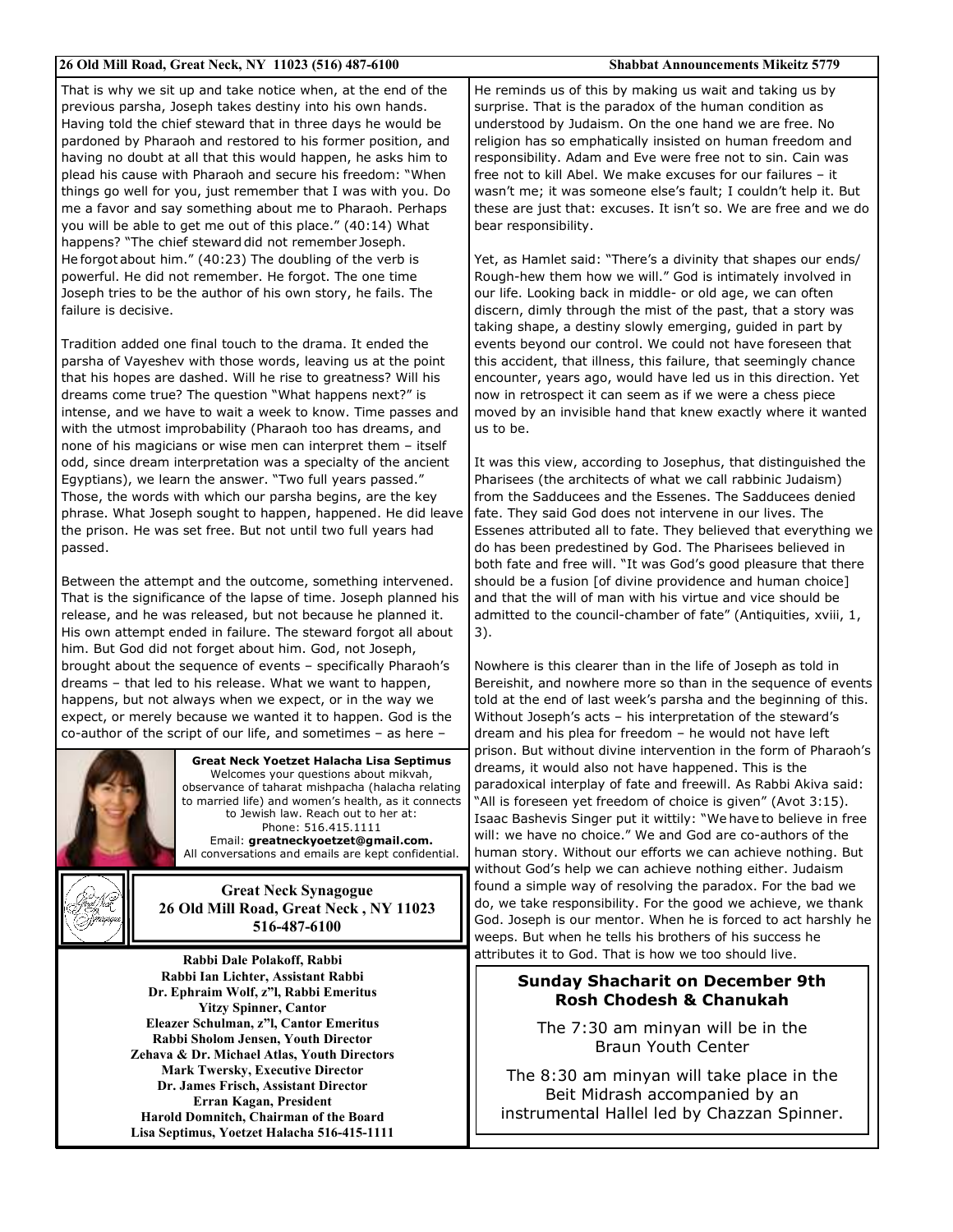| 26 Old Mill Road, Great Neck, NY 11023 (516) 487-6100                                                                                                                                                                                                                                                                                                                                                                                                 | <b>Shabbat Announcements Mikeitz 5779</b>                                                                                                                                                                                                                                                                                                                                                                                                                                                                                     |
|-------------------------------------------------------------------------------------------------------------------------------------------------------------------------------------------------------------------------------------------------------------------------------------------------------------------------------------------------------------------------------------------------------------------------------------------------------|-------------------------------------------------------------------------------------------------------------------------------------------------------------------------------------------------------------------------------------------------------------------------------------------------------------------------------------------------------------------------------------------------------------------------------------------------------------------------------------------------------------------------------|
| That is why we sit up and take notice when, at the end of the<br>previous parsha, Joseph takes destiny into his own hands.<br>Having told the chief steward that in three days he would be<br>pardoned by Pharaoh and restored to his former position, and<br>having no doubt at all that this would happen, he asks him to                                                                                                                           | He reminds us of this by making us wait and taking us by<br>surprise. That is the paradox of the human condition as<br>understood by Judaism. On the one hand we are free. No<br>religion has so emphatically insisted on human freedom and<br>responsibility. Adam and Eve were free not to sin. Cain was<br>free not to kill Abel. We make excuses for our failures - it                                                                                                                                                    |
| plead his cause with Pharaoh and secure his freedom: "When<br>things go well for you, just remember that I was with you. Do<br>me a favor and say something about me to Pharaoh. Perhaps<br>you will be able to get me out of this place." (40:14) What<br>happens? "The chief steward did not remember Joseph.                                                                                                                                       | wasn't me; it was someone else's fault; I couldn't help it. But<br>these are just that: excuses. It isn't so. We are free and we do<br>bear responsibility.                                                                                                                                                                                                                                                                                                                                                                   |
| He forgot about him." (40:23) The doubling of the verb is<br>powerful. He did not remember. He forgot. The one time<br>Joseph tries to be the author of his own story, he fails. The<br>failure is decisive.                                                                                                                                                                                                                                          | Yet, as Hamlet said: "There's a divinity that shapes our ends/<br>Rough-hew them how we will." God is intimately involved in<br>our life. Looking back in middle- or old age, we can often<br>discern, dimly through the mist of the past, that a story was<br>taking shape, a destiny slowly emerging, guided in part by                                                                                                                                                                                                     |
| Tradition added one final touch to the drama. It ended the<br>parsha of Vayeshev with those words, leaving us at the point<br>that his hopes are dashed. Will he rise to greatness? Will his<br>dreams come true? The question "What happens next?" is<br>intense, and we have to wait a week to know. Time passes and<br>with the utmost improbability (Pharaoh too has dreams, and<br>none of his magicians or wise men can interpret them - itself | events beyond our control. We could not have foreseen that<br>this accident, that illness, this failure, that seemingly chance<br>encounter, years ago, would have led us in this direction. Yet<br>now in retrospect it can seem as if we were a chess piece<br>moved by an invisible hand that knew exactly where it wanted<br>us to be.                                                                                                                                                                                    |
| odd, since dream interpretation was a specialty of the ancient<br>Egyptians), we learn the answer. "Two full years passed."<br>Those, the words with which our parsha begins, are the key<br>phrase. What Joseph sought to happen, happened. He did leave<br>the prison. He was set free. But not until two full years had<br>passed.                                                                                                                 | It was this view, according to Josephus, that distinguished the<br>Pharisees (the architects of what we call rabbinic Judaism)<br>from the Sadducees and the Essenes. The Sadducees denied<br>fate. They said God does not intervene in our lives. The<br>Essenes attributed all to fate. They believed that everything we<br>do has been predestined by God. The Pharisees believed in                                                                                                                                       |
| Between the attempt and the outcome, something intervened.<br>That is the significance of the lapse of time. Joseph planned his<br>release, and he was released, but not because he planned it.<br>His own attempt ended in failure. The steward forgot all about<br>him. But God did not forget about him. God, not Joseph,                                                                                                                          | both fate and free will. "It was God's good pleasure that there<br>should be a fusion [of divine providence and human choice]<br>and that the will of man with his virtue and vice should be<br>admitted to the council-chamber of fate" (Antiquities, xviii, 1,<br>3).                                                                                                                                                                                                                                                       |
| brought about the sequence of events - specifically Pharaoh's<br>dreams - that led to his release. What we want to happen,<br>happens, but not always when we expect, or in the way we<br>expect, or merely because we wanted it to happen. God is the<br>co-author of the script of our life, and sometimes - as here -                                                                                                                              | Nowhere is this clearer than in the life of Joseph as told in<br>Bereishit, and nowhere more so than in the sequence of events<br>told at the end of last week's parsha and the beginning of this.<br>Without Joseph's acts - his interpretation of the steward's<br>dream and his plea for freedom – he would not have left                                                                                                                                                                                                  |
| Great Neck Yoetzet Halacha Lisa Septimus<br>Welcomes your questions about mikvah,<br>observance of taharat mishpacha (halacha relating<br>to married life) and women's health, as it connects<br>to Jewish law. Reach out to her at:<br>Phone: 516.415.1111<br>Email: greatneckyoetzet@gmail.com.<br>All conversations and emails are kept confidential.                                                                                              | prison. But without divine intervention in the form of Pharaoh's<br>dreams, it would also not have happened. This is the<br>paradoxical interplay of fate and freewill. As Rabbi Akiva said:<br>"All is foreseen yet freedom of choice is given" (Avot 3:15).<br>Isaac Bashevis Singer put it wittily: "We have to believe in free<br>will: we have no choice." We and God are co-authors of the<br>human story. Without our efforts we can achieve nothing. But<br>without God's help we can achieve nothing either. Judaism |
| <b>Great Neck Synagogue</b><br>26 Old Mill Road, Great Neck, NY 11023<br>516-487-6100<br>Rabbi Dale Polakoff, Rabbi                                                                                                                                                                                                                                                                                                                                   | found a simple way of resolving the paradox. For the bad we<br>do, we take responsibility. For the good we achieve, we thank<br>God. Joseph is our mentor. When he is forced to act harshly he<br>weeps. But when he tells his brothers of his success he<br>attributes it to God. That is how we too should live.                                                                                                                                                                                                            |
| Rabbi Ian Lichter, Assistant Rabbi<br>Dr. Ephraim Wolf, z"l, Rabbi Emeritus                                                                                                                                                                                                                                                                                                                                                                           | <b>Sunday Shacharit on December 9th</b><br>Doch Chadach Q. Chanulrah                                                                                                                                                                                                                                                                                                                                                                                                                                                          |

**Yitzy Spinner, Cantor Eleazer Schulman, z"l, Cantor Emeritus Rabbi Sholom Jensen, Youth Director** Zehava & Dr. Michael Atlas, Youth Directors **Mark Twersky, Executive Director Dr. James Frisch, Assistant Director Erran Kagan, President Harold Domnitch, Chairman of the Board** Lisa Septimus, Yoetzet Halacha 516-415-1111

**Rosh Chodesh & Chanukah** The 7:30 am minyan will be in the

Braun Youth Center

The 8:30 am minyan will take place in the Beit Midrash accompanied by an instrumental Hallel led by Chazzan Spinner.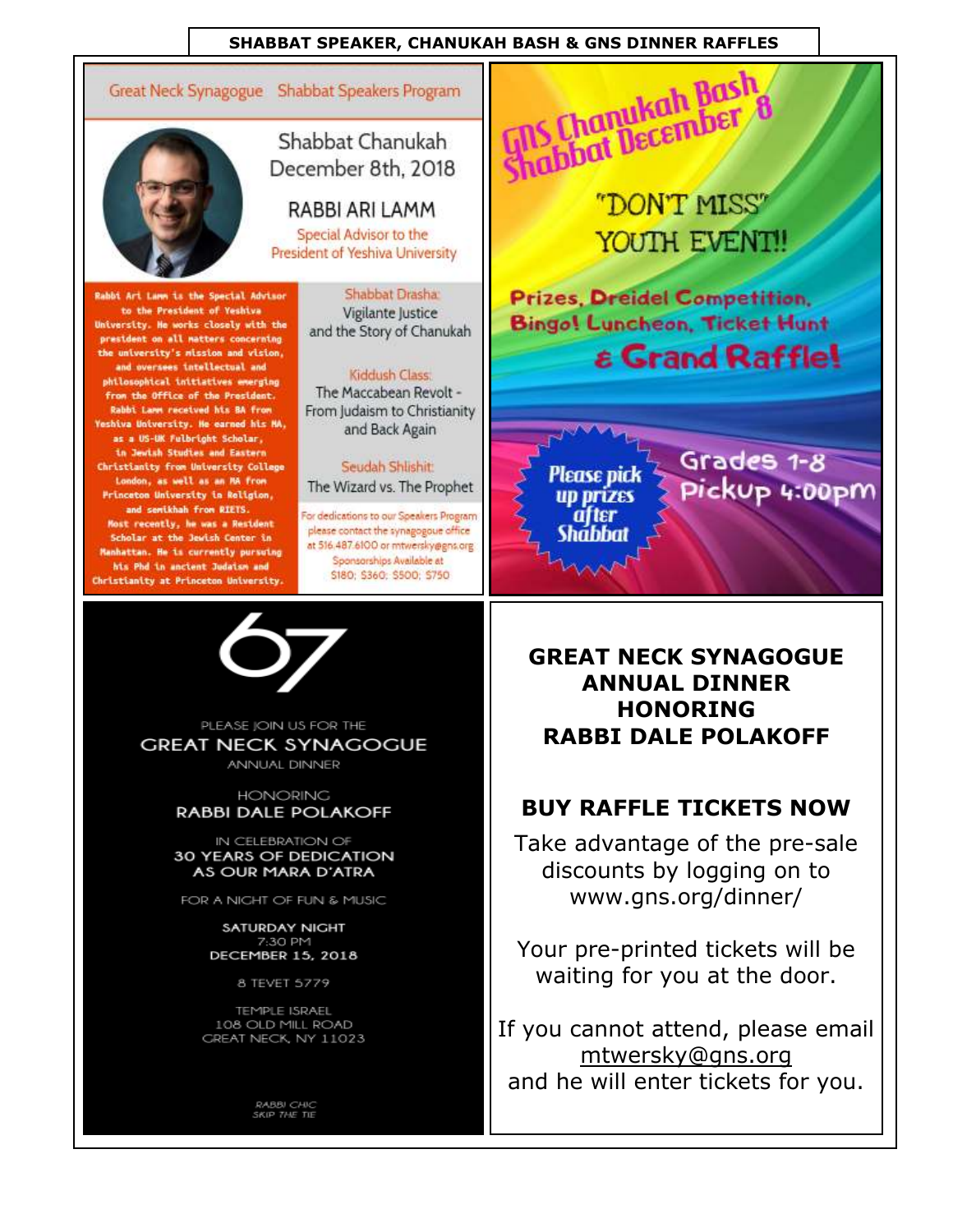#### **SHABBAT SPEAKER, CHANUKAH BASH & GNS DINNER RAFFLES**

Great Neck Synagogue Shabbat Speakers Program



Rabbi Ari Lamm is the Special Advisor to the President of Yeshiva University. He works closely with the president on all matters concerning the university's mission and vision, and oversees intellectual and philosophical initiatives emerging from the Office of the President. Rabbi Lann received his BA from **Yeshiva University. He earned his MA.** as a US-UK Felbright Scholar, **In Jewish Studies and Eastern** Christianity from University College London, as well as an MA from Princeton University in Religion, and semikhah from RIETS. Most recently, he was a Resident Scholar at the Jewish Center in Manhattan. He is currently pursuing hts Phd in ancient Judaism and Christianity at Princeton University.

Shabbat Chanukah December 8th, 2018

RABBI ARI LAMM Special Advisor to the President of Yeshiva University

> Shabbat Drasha Vigilante Justice and the Story of Chanukah

#### Kiddush Class:

The Maccabean Revolt -From Judaism to Christianity and Back Again

Seudah Shlishit: The Wizard vs. The Prophet For dedications to our Speakers Program

please contact the synagogoue office at 516.487.6100 or mtwersky@gns.org Sponsorships Available at S180; \$360; \$500; \$750



PLEASE JOIN US FOR THE **GREAT NECK SYNAGOGUE ANNUAL DINNER** 

**HONORING** 

**RABBI DALE POLAKOFF** 

IN CELEBRATION OF 30 YEARS OF DEDICATION AS OUR MARA D'ATRA

FOR A NIGHT OF FUN & MUSIC

SATURDAY NIGHT 7:30 PM **DECEMBER 15, 2018** 

8 TEVET 5779

TEMPLE ISRAEL 108 OLD MILL ROAD GREAT NECK, NY 11023

RABBI CHIC<br>SKIP THE TIE

**Shabbat December 8** "DON'T MISS" YOUTH EVENT! **Prizes, Dreidel Competition. Bingo! Luncheon, Ticket Hunt & Grand Raffle!** Grades 1-8 Please pick Pickup 4:00pm **up prizes** 

**GREAT NECK SYNAGOGUE ANNUAL DINNER HONORING RABBI DALE POLAKOFF** 

at ter

Shabbat

### **BUY RAFFLE TICKETS NOW**

Take advantage of the pre-sale discounts by logging on to www.gns.org/dinner/

Your pre-printed tickets will be waiting for you at the door.

If you cannot attend, please email mtwersky@gns.org and he will enter tickets for you.